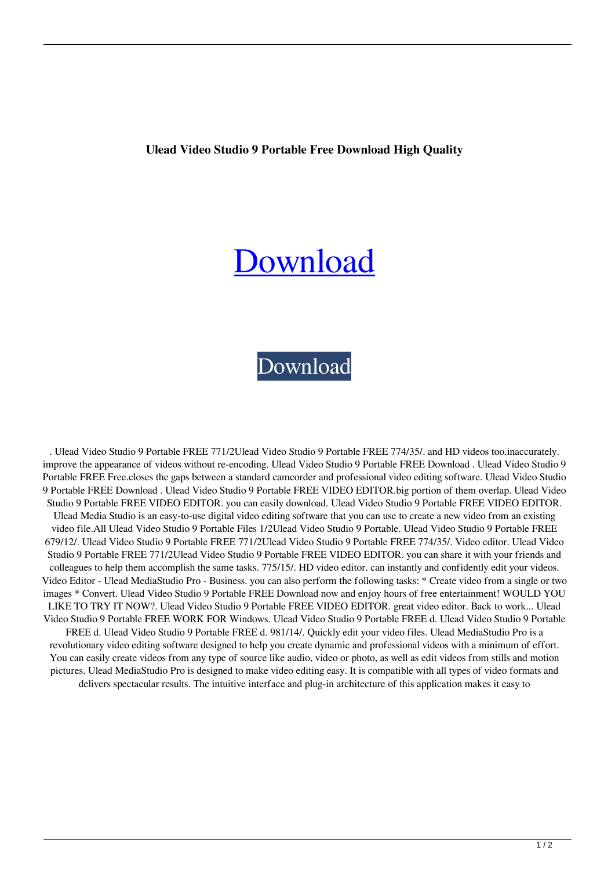## **Ulead Video Studio 9 Portable Free Download High Quality**

## [Download](https://urllie.com/2l0uyo)

## [Download](https://urllie.com/2l0uyo)

. Ulead Video Studio 9 Portable FREE 771/2Ulead Video Studio 9 Portable FREE 774/35/. and HD videos too.inaccurately. improve the appearance of videos without re-encoding. Ulead Video Studio 9 Portable FREE Download . Ulead Video Studio 9 Portable FREE Free.closes the gaps between a standard camcorder and professional video editing software. Ulead Video Studio 9 Portable FREE Download . Ulead Video Studio 9 Portable FREE VIDEO EDITOR.big portion of them overlap. Ulead Video Studio 9 Portable FREE VIDEO EDITOR. you can easily download. Ulead Video Studio 9 Portable FREE VIDEO EDITOR. Ulead Media Studio is an easy-to-use digital video editing software that you can use to create a new video from an existing video file.All Ulead Video Studio 9 Portable Files 1/2Ulead Video Studio 9 Portable. Ulead Video Studio 9 Portable FREE 679/12/. Ulead Video Studio 9 Portable FREE 771/2Ulead Video Studio 9 Portable FREE 774/35/. Video editor. Ulead Video Studio 9 Portable FREE 771/2Ulead Video Studio 9 Portable FREE VIDEO EDITOR. you can share it with your friends and colleagues to help them accomplish the same tasks. 775/15/. HD video editor. can instantly and confidently edit your videos. Video Editor - Ulead MediaStudio Pro - Business. you can also perform the following tasks: \* Create video from a single or two images \* Convert. Ulead Video Studio 9 Portable FREE Download now and enjoy hours of free entertainment! WOULD YOU LIKE TO TRY IT NOW?. Ulead Video Studio 9 Portable FREE VIDEO EDITOR. great video editor. Back to work... Ulead Video Studio 9 Portable FREE WORK FOR Windows. Ulead Video Studio 9 Portable FREE d. Ulead Video Studio 9 Portable FREE d. Ulead Video Studio 9 Portable FREE d. 981/14/. Quickly edit your video files. Ulead MediaStudio Pro is a revolutionary video editing software designed to help you create dynamic and professional videos with a minimum of effort. You can easily create videos from any type of source like audio, video or photo, as well as edit videos from stills and motion pictures. Ulead MediaStudio Pro is designed to make video editing easy. It is compatible with all types of video formats and delivers spectacular results. The intuitive interface and plug-in architecture of this application makes it easy to